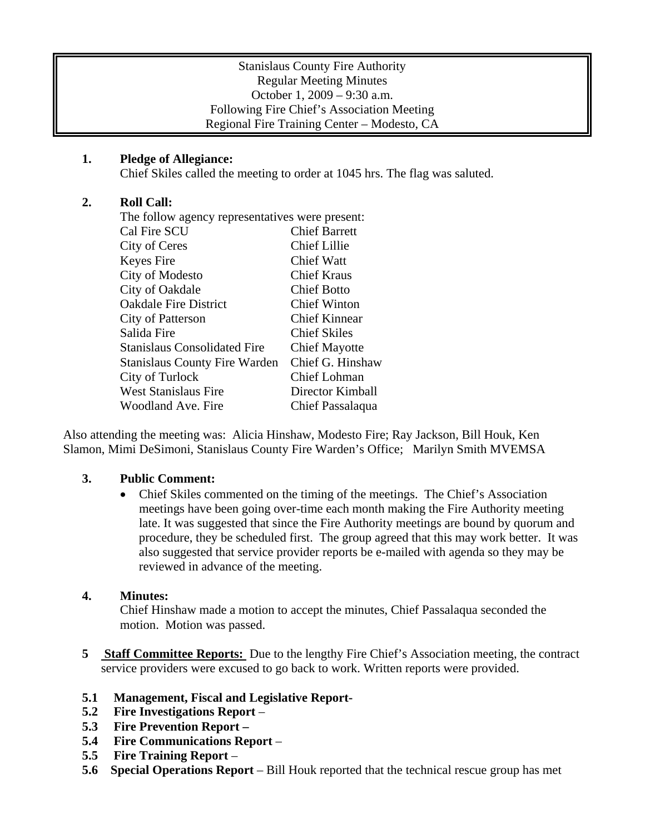### Stanislaus County Fire Authority Regular Meeting Minutes October 1, 2009 – 9:30 a.m. Following Fire Chief's Association Meeting Regional Fire Training Center – Modesto, CA

# **1. Pledge of Allegiance:**

Chief Skiles called the meeting to order at 1045 hrs. The flag was saluted.

# **2. Roll Call:**

The follow agency representatives were present: Cal Fire SCU Chief Barrett City of Ceres Chief Lillie Keyes Fire Chief Watt City of Modesto Chief Kraus City of Oakdale Chief Botto Oakdale Fire District Chief Winton City of Patterson Chief Kinnear Salida Fire Chief Skiles Stanislaus Consolidated Fire Chief Mayotte Stanislaus County Fire Warden Chief G. Hinshaw City of Turlock Chief Lohman West Stanislaus Fire Director Kimball Woodland Ave. Fire Chief Passalaqua

Also attending the meeting was: Alicia Hinshaw, Modesto Fire; Ray Jackson, Bill Houk, Ken Slamon, Mimi DeSimoni, Stanislaus County Fire Warden's Office; Marilyn Smith MVEMSA

## **3. Public Comment:**

• Chief Skiles commented on the timing of the meetings. The Chief's Association meetings have been going over-time each month making the Fire Authority meeting late. It was suggested that since the Fire Authority meetings are bound by quorum and procedure, they be scheduled first. The group agreed that this may work better. It was also suggested that service provider reports be e-mailed with agenda so they may be reviewed in advance of the meeting.

## **4. Minutes:**

Chief Hinshaw made a motion to accept the minutes, Chief Passalaqua seconded the motion. Motion was passed.

**5 Staff Committee Reports:** Due to the lengthy Fire Chief's Association meeting, the contract service providers were excused to go back to work. Written reports were provided.

## **5.1 Management, Fiscal and Legislative Report-**

- **5.2 Fire Investigations Report** –
- **5.3 Fire Prevention Report –**
- **5.4 Fire Communications Report** –
- **5.5 Fire Training Report** –
- **5.6 Special Operations Report** Bill Houk reported that the technical rescue group has met